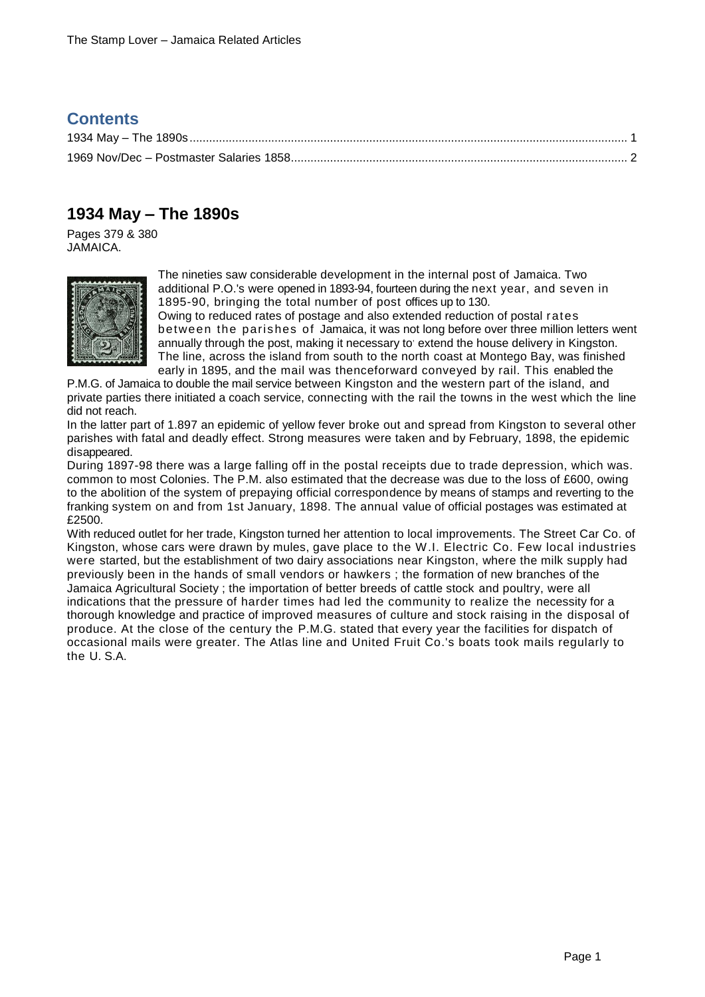## **Contents**

## <span id="page-0-0"></span>**1934 May – The 1890s**

Pages 379 & 380 JAMAICA.



The nineties saw considerable development in the internal post of Jamaica. Two additional P.O.'s were opened in 1893-94, fourteen during the next year, and seven in 1895-90, bringing the total number of post offices up to 130. Owing to reduced rates of postage and also extended reduction of postal rates

between the parishes of Jamaica, it was not long before over three million letters went annually through the post, making it necessary to' extend the house delivery in Kingston. The line, across the island from south to the north coast at Montego Bay, was finished early in 1895, and the mail was thenceforward conveyed by rail. This enabled the

P.M.G. of Jamaica to double the mail service between Kingston and the western part of the island, and private parties there initiated a coach service, connecting with the rail the towns in the west which the line did not reach.

In the latter part of 1.897 an epidemic of yellow fever broke out and spread from Kingston to several other parishes with fatal and deadly effect. Strong measures were taken and by February, 1898, the epidemic disappeared.

During 1897-98 there was a large falling off in the postal receipts due to trade depression, which was. common to most Colonies. The P.M. also estimated that the decrease was due to the loss of £600, owing to the abolition of the system of prepaying official correspondence by means of stamps and reverting to the franking system on and from 1st January, 1898. The annual value of official postages was estimated at £2500.

With reduced outlet for her trade, Kingston turned her attention to local improvements. The Street Car Co. of Kingston, whose cars were drawn by mules, gave place to the W.I. Electric Co. Few local industries were started, but the establishment of two dairy associations near Kingston, where the milk supply had previously been in the hands of small vendors or hawkers ; the formation of new branches of the Jamaica Agricultural Society ; the importation of better breeds of cattle stock and poultry, were all indications that the pressure of harder times had led the community to realize the necessity for a thorough knowledge and practice of improved measures of culture and stock raising in the disposal of produce. At the close of the century the P.M.G. stated that every year the facilities for dispatch of occasional mails were greater. The Atlas line and United Fruit Co.'s boats took mails regularly to the U. S.A.